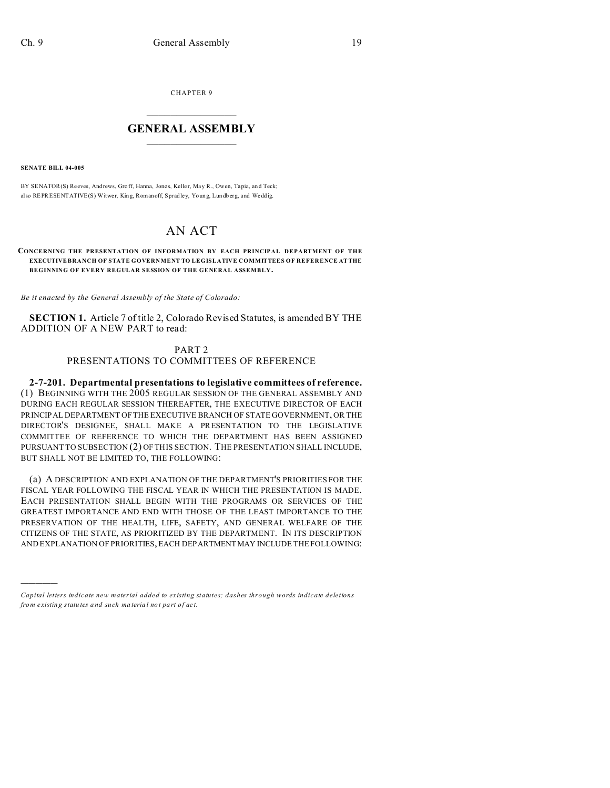CHAPTER 9

## $\overline{\phantom{a}}$  , where  $\overline{\phantom{a}}$ **GENERAL ASSEMBLY**  $\frac{1}{\sqrt{2}}$  . The set of  $\frac{1}{\sqrt{2}}$  ,  $\frac{1}{\sqrt{2}}$  ,  $\frac{1}{\sqrt{2}}$  ,  $\frac{1}{\sqrt{2}}$

**SENATE BILL 04-005**

)))))

BY SENATOR(S) Reeves, Andrews, Groff, Hanna, Jones, Keller, May R., Owen, Tapia, and Teck; also REPRESENTATIVE(S) Witwer, King, Romanoff, Spradley, Young, Lundberg, and Weddig.

## AN ACT

## **CONCERNING THE PRESENTATION OF INFORMATION BY EACH PRINCIPAL DEPARTMENT OF THE EXECUTIVE BRANCH OF STATE GOVERNMENT TO LEGISLATIVE COMMITTEES OF REFERENCE AT THE BEGINNING OF EVERY REGULAR SESSION OF THE GENERAL ASSEMBLY.**

*Be it enacted by the General Assembly of the State of Colorado:*

**SECTION 1.** Article 7 of title 2, Colorado Revised Statutes, is amended BY THE ADDITION OF A NEW PART to read:

## PART 2 PRESENTATIONS TO COMMITTEES OF REFERENCE

**2-7-201. Departmental presentations to legislative committees of reference.** (1) BEGINNING WITH THE 2005 REGULAR SESSION OF THE GENERAL ASSEMBLY AND DURING EACH REGULAR SESSION THEREAFTER, THE EXECUTIVE DIRECTOR OF EACH PRINCIPAL DEPARTMENT OF THE EXECUTIVE BRANCH OF STATE GOVERNMENT, OR THE DIRECTOR'S DESIGNEE, SHALL MAKE A PRESENTATION TO THE LEGISLATIVE COMMITTEE OF REFERENCE TO WHICH THE DEPARTMENT HAS BEEN ASSIGNED PURSUANT TO SUBSECTION (2) OF THIS SECTION. THE PRESENTATION SHALL INCLUDE, BUT SHALL NOT BE LIMITED TO, THE FOLLOWING:

(a) A DESCRIPTION AND EXPLANATION OF THE DEPARTMENT'S PRIORITIES FOR THE FISCAL YEAR FOLLOWING THE FISCAL YEAR IN WHICH THE PRESENTATION IS MADE. EACH PRESENTATION SHALL BEGIN WITH THE PROGRAMS OR SERVICES OF THE GREATEST IMPORTANCE AND END WITH THOSE OF THE LEAST IMPORTANCE TO THE PRESERVATION OF THE HEALTH, LIFE, SAFETY, AND GENERAL WELFARE OF THE CITIZENS OF THE STATE, AS PRIORITIZED BY THE DEPARTMENT. IN ITS DESCRIPTION AND EXPLANATION OF PRIORITIES, EACH DEPARTMENTMAY INCLUDE THE FOLLOWING:

*Capital letters indicate new material added to existing statutes; dashes through words indicate deletions from e xistin g statu tes a nd such ma teria l no t pa rt of ac t.*